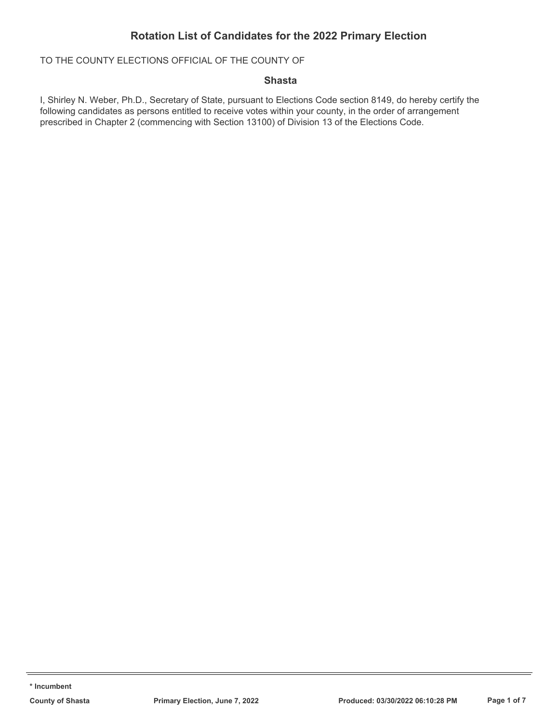TO THE COUNTY ELECTIONS OFFICIAL OF THE COUNTY OF

### **Shasta**

I, Shirley N. Weber, Ph.D., Secretary of State, pursuant to Elections Code section 8149, do hereby certify the following candidates as persons entitled to receive votes within your county, in the order of arrangement prescribed in Chapter 2 (commencing with Section 13100) of Division 13 of the Elections Code.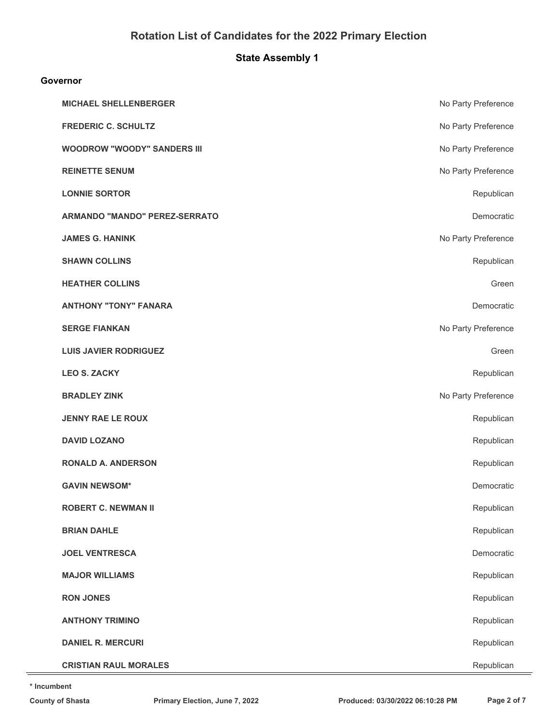# **State Assembly 1**

#### **Governor**

| <b>MICHAEL SHELLENBERGER</b>       | No Party Preference |
|------------------------------------|---------------------|
| <b>FREDERIC C. SCHULTZ</b>         | No Party Preference |
| <b>WOODROW "WOODY" SANDERS III</b> | No Party Preference |
| <b>REINETTE SENUM</b>              | No Party Preference |
| <b>LONNIE SORTOR</b>               | Republican          |
| ARMANDO "MANDO" PEREZ-SERRATO      | Democratic          |
| <b>JAMES G. HANINK</b>             | No Party Preference |
| <b>SHAWN COLLINS</b>               | Republican          |
| <b>HEATHER COLLINS</b>             | Green               |
| <b>ANTHONY "TONY" FANARA</b>       | Democratic          |
| <b>SERGE FIANKAN</b>               | No Party Preference |
| <b>LUIS JAVIER RODRIGUEZ</b>       | Green               |
| <b>LEO S. ZACKY</b>                | Republican          |
| <b>BRADLEY ZINK</b>                | No Party Preference |
| <b>JENNY RAE LE ROUX</b>           | Republican          |
| <b>DAVID LOZANO</b>                | Republican          |
| <b>RONALD A. ANDERSON</b>          | Republican          |
| <b>GAVIN NEWSOM*</b>               | Democratic          |
| <b>ROBERT C. NEWMAN II</b>         | Republican          |
| <b>BRIAN DAHLE</b>                 | Republican          |
| <b>JOEL VENTRESCA</b>              | Democratic          |
| <b>MAJOR WILLIAMS</b>              | Republican          |
| <b>RON JONES</b>                   | Republican          |
| <b>ANTHONY TRIMINO</b>             | Republican          |
| <b>DANIEL R. MERCURI</b>           | Republican          |
| <b>CRISTIAN RAUL MORALES</b>       | Republican          |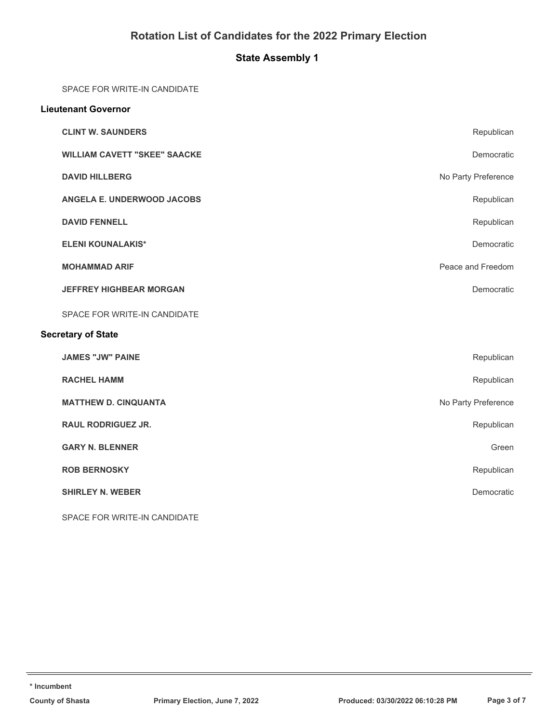# **State Assembly 1**

SPACE FOR WRITE-IN CANDIDATE

| <b>Lieutenant Governor</b>          |                     |  |
|-------------------------------------|---------------------|--|
| <b>CLINT W. SAUNDERS</b>            | Republican          |  |
| <b>WILLIAM CAVETT "SKEE" SAACKE</b> | Democratic          |  |
| <b>DAVID HILLBERG</b>               | No Party Preference |  |
| ANGELA E. UNDERWOOD JACOBS          | Republican          |  |
| <b>DAVID FENNELL</b>                | Republican          |  |
| <b>ELENI KOUNALAKIS*</b>            | Democratic          |  |
| <b>MOHAMMAD ARIF</b>                | Peace and Freedom   |  |
| <b>JEFFREY HIGHBEAR MORGAN</b>      | Democratic          |  |
| SPACE FOR WRITE-IN CANDIDATE        |                     |  |
| <b>Secretary of State</b>           |                     |  |
| <b>JAMES "JW" PAINE</b>             | Republican          |  |
| <b>RACHEL HAMM</b>                  | Republican          |  |
| <b>MATTHEW D. CINQUANTA</b>         | No Party Preference |  |
| <b>RAUL RODRIGUEZ JR.</b>           | Republican          |  |
| <b>GARY N. BLENNER</b>              | Green               |  |
| <b>ROB BERNOSKY</b>                 | Republican          |  |
| <b>SHIRLEY N. WEBER</b>             | Democratic          |  |
| SPACE FOR WRITE-IN CANDIDATE        |                     |  |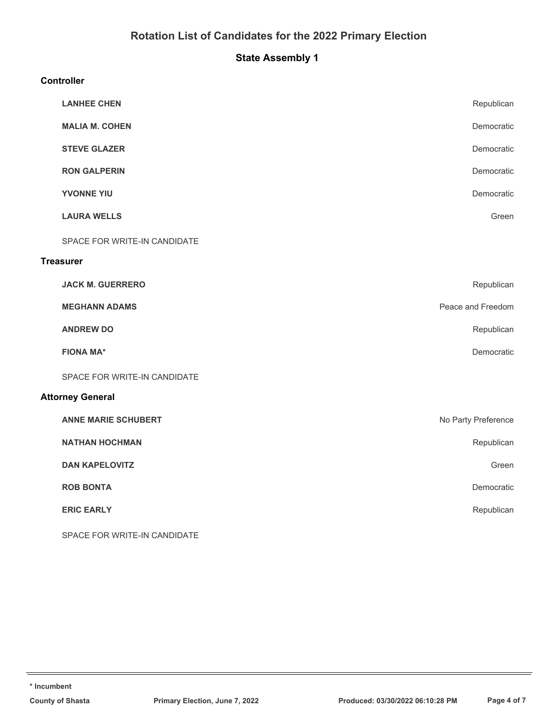# **State Assembly 1**

### **Controller**

|                         | <b>LANHEE CHEN</b>           | Republican          |  |
|-------------------------|------------------------------|---------------------|--|
|                         | <b>MALIA M. COHEN</b>        | Democratic          |  |
|                         | <b>STEVE GLAZER</b>          | Democratic          |  |
|                         | <b>RON GALPERIN</b>          | Democratic          |  |
|                         | <b>YVONNE YIU</b>            | Democratic          |  |
|                         | <b>LAURA WELLS</b>           | Green               |  |
|                         | SPACE FOR WRITE-IN CANDIDATE |                     |  |
|                         | <b>Treasurer</b>             |                     |  |
|                         | <b>JACK M. GUERRERO</b>      | Republican          |  |
|                         | <b>MEGHANN ADAMS</b>         | Peace and Freedom   |  |
|                         | <b>ANDREW DO</b>             | Republican          |  |
|                         | <b>FIONA MA*</b>             | Democratic          |  |
|                         | SPACE FOR WRITE-IN CANDIDATE |                     |  |
| <b>Attorney General</b> |                              |                     |  |
|                         | <b>ANNE MARIE SCHUBERT</b>   | No Party Preference |  |
|                         | <b>NATHAN HOCHMAN</b>        | Republican          |  |
|                         | <b>DAN KAPELOVITZ</b>        | Green               |  |
|                         | <b>ROB BONTA</b>             | Democratic          |  |
|                         | <b>ERIC EARLY</b>            | Republican          |  |
|                         | SPACE FOR WRITE-IN CANDIDATE |                     |  |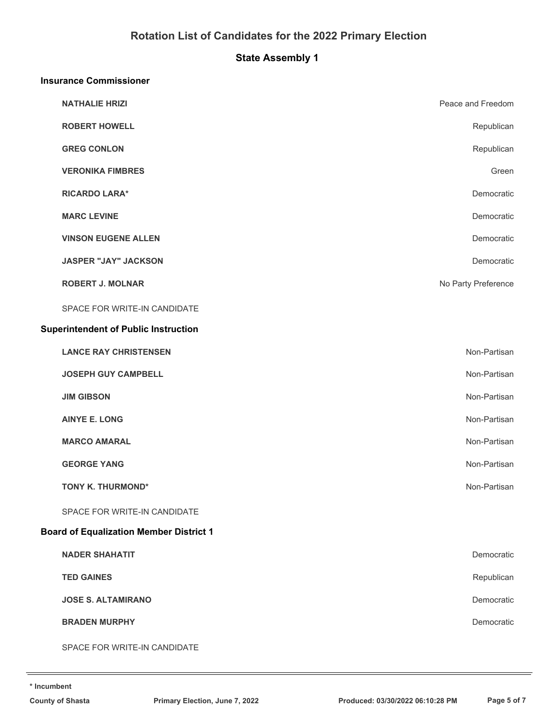# **State Assembly 1**

#### **Insurance Commissioner**

| <b>NATHALIE HRIZI</b>                          | Peace and Freedom   |
|------------------------------------------------|---------------------|
| <b>ROBERT HOWELL</b>                           | Republican          |
| <b>GREG CONLON</b>                             | Republican          |
| <b>VERONIKA FIMBRES</b>                        | Green               |
| <b>RICARDO LARA*</b>                           | Democratic          |
| <b>MARC LEVINE</b>                             | Democratic          |
| <b>VINSON EUGENE ALLEN</b>                     | Democratic          |
| <b>JASPER "JAY" JACKSON</b>                    | Democratic          |
| <b>ROBERT J. MOLNAR</b>                        | No Party Preference |
| SPACE FOR WRITE-IN CANDIDATE                   |                     |
| <b>Superintendent of Public Instruction</b>    |                     |
| <b>LANCE RAY CHRISTENSEN</b>                   | Non-Partisan        |
| <b>JOSEPH GUY CAMPBELL</b>                     | Non-Partisan        |
| <b>JIM GIBSON</b>                              | Non-Partisan        |
| <b>AINYE E. LONG</b>                           | Non-Partisan        |
| <b>MARCO AMARAL</b>                            | Non-Partisan        |
| <b>GEORGE YANG</b>                             | Non-Partisan        |
| TONY K. THURMOND*                              | Non-Partisan        |
| SPACE FOR WRITE-IN CANDIDATE                   |                     |
| <b>Board of Equalization Member District 1</b> |                     |
| <b>NADER SHAHATIT</b>                          | Democratic          |
| <b>TED GAINES</b>                              | Republican          |
| <b>JOSE S. ALTAMIRANO</b>                      | Democratic          |
| <b>BRADEN MURPHY</b>                           | Democratic          |
| SPACE FOR WRITE-IN CANDIDATE                   |                     |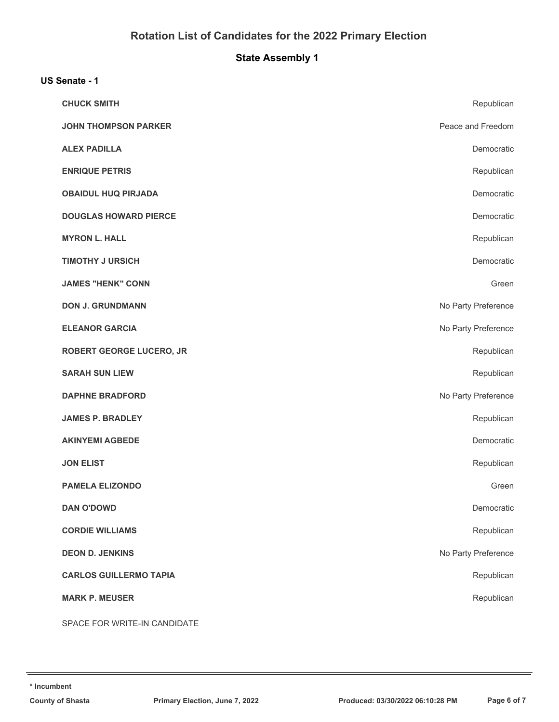# **State Assembly 1**

### **US Senate - 1**

| <b>CHUCK SMITH</b>              | Republican          |
|---------------------------------|---------------------|
| <b>JOHN THOMPSON PARKER</b>     | Peace and Freedom   |
| <b>ALEX PADILLA</b>             | Democratic          |
| <b>ENRIQUE PETRIS</b>           | Republican          |
| <b>OBAIDUL HUQ PIRJADA</b>      | Democratic          |
| <b>DOUGLAS HOWARD PIERCE</b>    | Democratic          |
| <b>MYRON L. HALL</b>            | Republican          |
| <b>TIMOTHY J URSICH</b>         | Democratic          |
| <b>JAMES "HENK" CONN</b>        | Green               |
| <b>DON J. GRUNDMANN</b>         | No Party Preference |
| <b>ELEANOR GARCIA</b>           | No Party Preference |
| <b>ROBERT GEORGE LUCERO, JR</b> | Republican          |
| <b>SARAH SUN LIEW</b>           | Republican          |
| <b>DAPHNE BRADFORD</b>          | No Party Preference |
| <b>JAMES P. BRADLEY</b>         | Republican          |
| <b>AKINYEMI AGBEDE</b>          | Democratic          |
| <b>JON ELIST</b>                | Republican          |
| <b>PAMELA ELIZONDO</b>          | Green               |
| <b>DAN O'DOWD</b>               | Democratic          |
| <b>CORDIE WILLIAMS</b>          | Republican          |
| <b>DEON D. JENKINS</b>          | No Party Preference |
| <b>CARLOS GUILLERMO TAPIA</b>   | Republican          |
| <b>MARK P. MEUSER</b>           | Republican          |
| SPACE FOR WRITE-IN CANDIDATE    |                     |